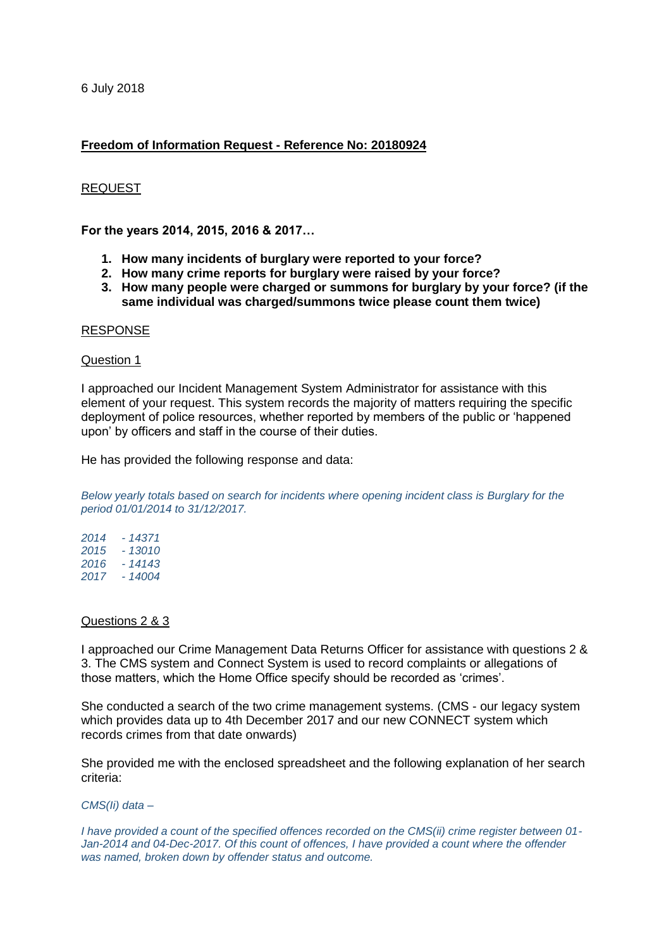# **Freedom of Information Request - Reference No: 20180924**

# REQUEST

**For the years 2014, 2015, 2016 & 2017…**

- **1. How many incidents of burglary were reported to your force?**
- **2. How many crime reports for burglary were raised by your force?**
- **3. How many people were charged or summons for burglary by your force? (if the same individual was charged/summons twice please count them twice)**

### RESPONSE

### Question 1

I approached our Incident Management System Administrator for assistance with this element of your request. This system records the majority of matters requiring the specific deployment of police resources, whether reported by members of the public or 'happened upon' by officers and staff in the course of their duties.

He has provided the following response and data:

*Below yearly totals based on search for incidents where opening incident class is Burglary for the period 01/01/2014 to 31/12/2017.*

*2014 - 14371 2015 - 13010 2016 - 14143 2017 - 14004*

### Questions 2 & 3

I approached our Crime Management Data Returns Officer for assistance with questions 2 & 3. The CMS system and Connect System is used to record complaints or allegations of those matters, which the Home Office specify should be recorded as 'crimes'.

She conducted a search of the two crime management systems. (CMS - our legacy system which provides data up to 4th December 2017 and our new CONNECT system which records crimes from that date onwards)

She provided me with the enclosed spreadsheet and the following explanation of her search criteria:

*CMS(Ii) data –*

*I have provided a count of the specified offences recorded on the CMS(ii) crime register between 01- Jan-2014 and 04-Dec-2017. Of this count of offences, I have provided a count where the offender was named, broken down by offender status and outcome.*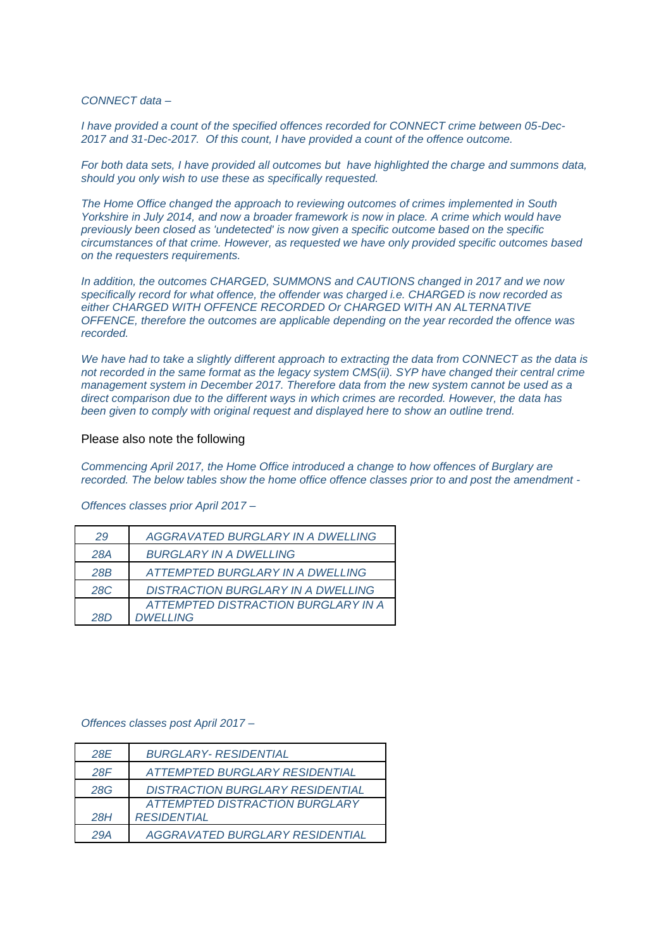#### *CONNECT data –*

*I have provided a count of the specified offences recorded for CONNECT crime between 05-Dec-2017 and 31-Dec-2017. Of this count, I have provided a count of the offence outcome.*

*For both data sets, I have provided all outcomes but have highlighted the charge and summons data, should you only wish to use these as specifically requested.*

*The Home Office changed the approach to reviewing outcomes of crimes implemented in South Yorkshire in July 2014, and now a broader framework is now in place. A crime which would have previously been closed as 'undetected' is now given a specific outcome based on the specific circumstances of that crime. However, as requested we have only provided specific outcomes based on the requesters requirements.*

*In addition, the outcomes CHARGED, SUMMONS and CAUTIONS changed in 2017 and we now specifically record for what offence, the offender was charged i.e. CHARGED is now recorded as either CHARGED WITH OFFENCE RECORDED Or CHARGED WITH AN ALTERNATIVE OFFENCE, therefore the outcomes are applicable depending on the year recorded the offence was recorded.*

*We have had to take a slightly different approach to extracting the data from CONNECT as the data is not recorded in the same format as the legacy system CMS(ii). SYP have changed their central crime management system in December 2017. Therefore data from the new system cannot be used as a direct comparison due to the different ways in which crimes are recorded. However, the data has been given to comply with original request and displayed here to show an outline trend.*

## Please also note the following

*Commencing April 2017, the Home Office introduced a change to how offences of Burglary are recorded. The below tables show the home office offence classes prior to and post the amendment -*

*29 AGGRAVATED BURGLARY IN A DWELLING 28A BURGLARY IN A DWELLING 28B ATTEMPTED BURGLARY IN A DWELLING 28C DISTRACTION BURGLARY IN A DWELLING 28D ATTEMPTED DISTRACTION BURGLARY IN A DWELLING*

*Offences classes prior April 2017 –*

## *Offences classes post April 2017 –*

| 28E | <b>BURGLARY- RESIDENTIAL</b>            |
|-----|-----------------------------------------|
| 28F | <b>ATTEMPTED BURGLARY RESIDENTIAL</b>   |
| 28G | <b>DISTRACTION BURGLARY RESIDENTIAL</b> |
|     | <b>ATTEMPTED DISTRACTION BURGLARY</b>   |
| 28H | <b>RESIDENTIAL</b>                      |
| 29A | AGGRAVATED BURGLARY RESIDENTIAL         |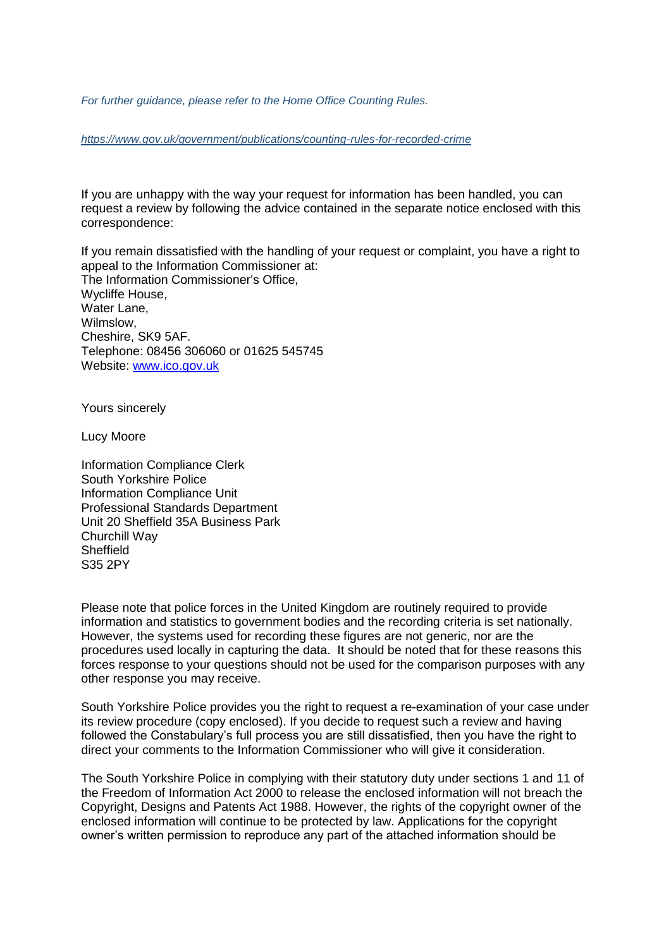*For further guidance, please refer to the Home Office Counting Rules.*

*<https://www.gov.uk/government/publications/counting-rules-for-recorded-crime>*

If you are unhappy with the way your request for information has been handled, you can request a review by following the advice contained in the separate notice enclosed with this correspondence:

If you remain dissatisfied with the handling of your request or complaint, you have a right to appeal to the Information Commissioner at: The Information Commissioner's Office, Wycliffe House, Water Lane, Wilmslow, Cheshire, SK9 5AF. Telephone: 08456 306060 or 01625 545745 Website: [www.ico.gov.uk](http://www.ico.gov.uk/)

Yours sincerely

Lucy Moore

Information Compliance Clerk South Yorkshire Police Information Compliance Unit Professional Standards Department Unit 20 Sheffield 35A Business Park Churchill Way **Sheffield** S35 2PY

Please note that police forces in the United Kingdom are routinely required to provide information and statistics to government bodies and the recording criteria is set nationally. However, the systems used for recording these figures are not generic, nor are the procedures used locally in capturing the data. It should be noted that for these reasons this forces response to your questions should not be used for the comparison purposes with any other response you may receive.

South Yorkshire Police provides you the right to request a re-examination of your case under its review procedure (copy enclosed). If you decide to request such a review and having followed the Constabulary's full process you are still dissatisfied, then you have the right to direct your comments to the Information Commissioner who will give it consideration.

The South Yorkshire Police in complying with their statutory duty under sections 1 and 11 of the Freedom of Information Act 2000 to release the enclosed information will not breach the Copyright, Designs and Patents Act 1988. However, the rights of the copyright owner of the enclosed information will continue to be protected by law. Applications for the copyright owner's written permission to reproduce any part of the attached information should be